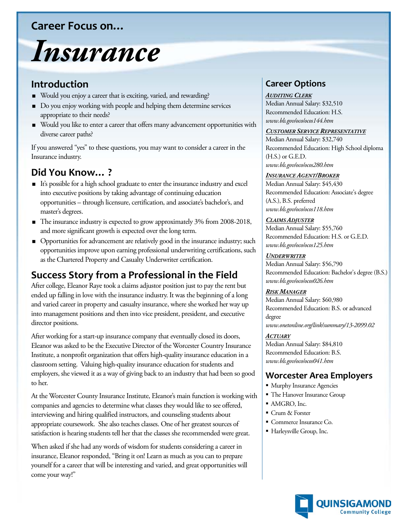## **Career Focus on…**

# *Insurance*

## **Introduction**

- Would you enjoy a career that is exciting, varied, and rewarding?
- Do you enjoy working with people and helping them determine services appropriate to their needs?
- Would you like to enter a career that offers many advancement opportunities with diverse career paths?

If you answered "yes" to these questions, you may want to consider a career in the Insurance industry.

## **Did You Know… ?**

- It's possible for a high school graduate to enter the insurance industry and excel into executive positions by taking advantage of continuing education opportunities – through licensure, certification, and associate's bachelor's, and master's degrees.
- The insurance industry is expected to grow approximately 3% from 2008-2018, and more significant growth is expected over the long term.
- **•** Opportunities for advancement are relatively good in the insurance industry; such opportunities improve upon earning professional underwriting certifications, such as the Chartered Property and Casualty Underwriter certification.

# **Success Story from a Professional in the Field**

After college, Eleanor Raye took a claims adjustor position just to pay the rent but ended up falling in love with the insurance industry. It was the beginning of a long and varied career in property and casualty insurance, where she worked her way up into management positions and then into vice president, president, and executive director positions.

After working for a start-up insurance company that eventually closed its doors, Eleanor was asked to be the Executive Director of the Worcester Country Insurance Institute, a nonprofit organization that offers high-quality insurance education in a classroom setting. Valuing high-quality insurance education for students and employers, she viewed it as a way of giving back to an industry that had been so good to her.

At the Worcester County Insurance Institute, Eleanor's main function is working with companies and agencies to determine what classes they would like to see offered, interviewing and hiring qualified instructors, and counseling students about appropriate coursework. She also teaches classes. One of her greatest sources of satisfaction is hearing students tell her that the classes she recommended were great.

When asked if she had any words of wisdom for students considering a career in insurance, Eleanor responded, "Bring it on! Learn as much as you can to prepare yourself for a career that will be interesting and varied, and great opportunities will come your way!"

## **Career Options**

Median Annual Salary: \$32,510 *AUDITING CLERK* Recommended Education: H.S. *www.bls.gov/oco/ocos144.htm*

#### *CUSTOMER SERVICE REPRESENTATIVE*

Median Annual Salary: \$32,740 Recommended Education: High School diploma (H.S.) or G.E.D. *www.bls.gov/oco/ocos280.htm*

#### *INSURANCE AGENT/BROKER*

Median Annual Salary: \$45,430 Recommended Education: Associate's degree (A.S.), B.S. preferred *www.bls.gov/oco/ocos118.htm*

#### *CLAIMS ADJUSTER*

Median Annual Salary: \$55,760 Recommended Education: H.S. or G.E.D. *www.bls.gov/oco/ocos125.htm*

#### *UNDERWRITER*

Median Annual Salary: \$56,790 Recommended Education: Bachelor's degree(B.S.) *www.bls.gov/oco/ocos026.htm*

#### *RISK MANAGER*

Median Annual Salary: \$60,980 Recommended Education: B.S. or advanced degree *www.onetonline.org/link/summary/13-2099.02*

#### *ACTUARY*

Median Annual Salary: \$84,810 Recommended Education: B.S. *www.bls.gov/oco/ocos041.htm*

### **Worcester Area Employers**

- **Murphy Insurance Agencies**
- The Hanover Insurance Group
- AMGRO, Inc.
- Crum & Forster
- Commerce Insurance Co.
- Harleysville Group, Inc.